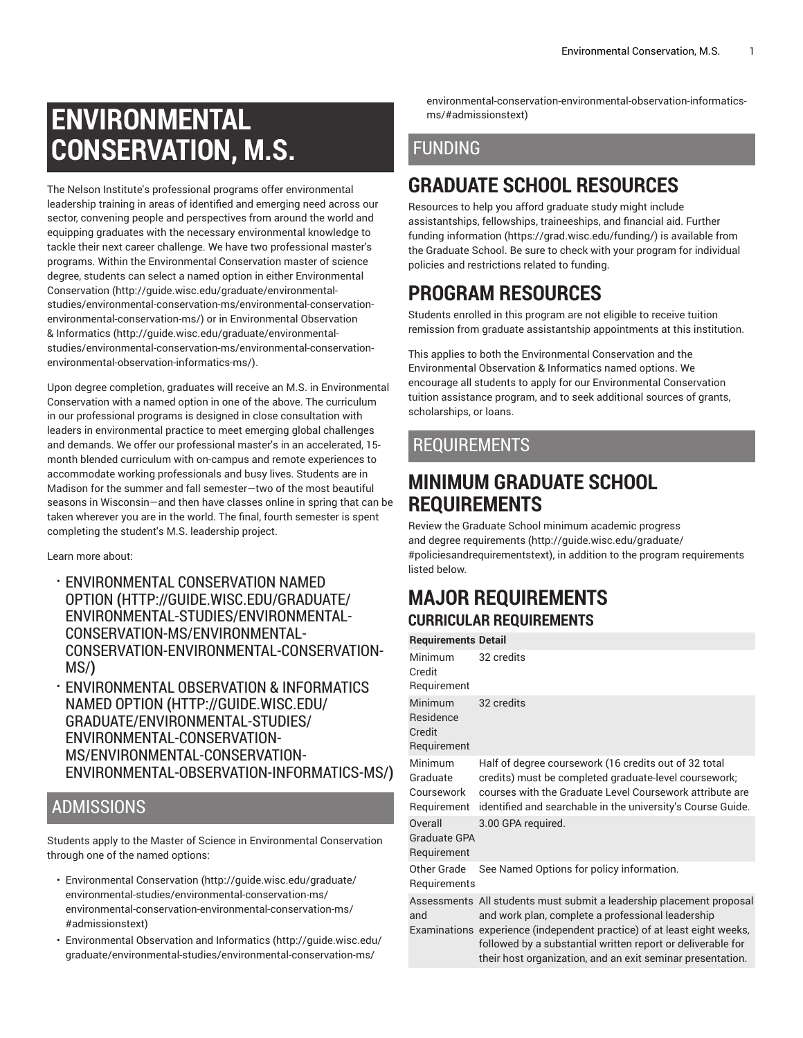# **ENVIRONMENTAL CONSERVATION, M.S.**

The Nelson Institute's professional programs offer environmental leadership training in areas of identified and emerging need across our sector, convening people and perspectives from around the world and equipping graduates with the necessary environmental knowledge to tackle their next career challenge. We have two professional master's programs. Within the Environmental Conservation master of science degree, students can select a named option in either [Environmental](http://guide.wisc.edu/graduate/environmental-studies/environmental-conservation-ms/environmental-conservation-environmental-conservation-ms/) [Conservation \(http://guide.wisc.edu/graduate/environmental](http://guide.wisc.edu/graduate/environmental-studies/environmental-conservation-ms/environmental-conservation-environmental-conservation-ms/)[studies/environmental-conservation-ms/environmental-conservation](http://guide.wisc.edu/graduate/environmental-studies/environmental-conservation-ms/environmental-conservation-environmental-conservation-ms/)[environmental-conservation-ms/](http://guide.wisc.edu/graduate/environmental-studies/environmental-conservation-ms/environmental-conservation-environmental-conservation-ms/)) or in [Environmental](http://guide.wisc.edu/graduate/environmental-studies/environmental-conservation-ms/environmental-conservation-environmental-observation-informatics-ms/) Observation [& Informatics](http://guide.wisc.edu/graduate/environmental-studies/environmental-conservation-ms/environmental-conservation-environmental-observation-informatics-ms/) [\(http://guide.wisc.edu/graduate/environmental](http://guide.wisc.edu/graduate/environmental-studies/environmental-conservation-ms/environmental-conservation-environmental-observation-informatics-ms/)[studies/environmental-conservation-ms/environmental-conservation](http://guide.wisc.edu/graduate/environmental-studies/environmental-conservation-ms/environmental-conservation-environmental-observation-informatics-ms/)[environmental-observation-informatics-ms/](http://guide.wisc.edu/graduate/environmental-studies/environmental-conservation-ms/environmental-conservation-environmental-observation-informatics-ms/)).

Upon degree completion, graduates will receive an M.S. in Environmental Conservation with a named option in one of the above. The curriculum in our professional programs is designed in close consultation with leaders in environmental practice to meet emerging global challenges and demands. We offer our professional master's in an accelerated, 15 month blended curriculum with on-campus and remote experiences to accommodate working professionals and busy lives. Students are in Madison for the summer and fall semester—two of the most beautiful seasons in Wisconsin—and then have classes online in spring that can be taken wherever you are in the world. The final, fourth semester is spent completing the student's M.S. leadership project.

Learn more about:

- [ENVIRONMENTAL](http://guide.wisc.edu/graduate/environmental-studies/environmental-conservation-ms/environmental-conservation-environmental-conservation-ms/) CONSERVATION NAMED [OPTION](http://guide.wisc.edu/graduate/environmental-studies/environmental-conservation-ms/environmental-conservation-environmental-conservation-ms/) **(**[HTTP://GUIDE.WISC.EDU/GRADUATE/](http://guide.wisc.edu/graduate/environmental-studies/environmental-conservation-ms/environmental-conservation-environmental-conservation-ms/) [ENVIRONMENTAL-STUDIES/ENVIRONMENTAL-](http://guide.wisc.edu/graduate/environmental-studies/environmental-conservation-ms/environmental-conservation-environmental-conservation-ms/)[CONSERVATION-MS/ENVIRONMENTAL-](http://guide.wisc.edu/graduate/environmental-studies/environmental-conservation-ms/environmental-conservation-environmental-conservation-ms/)[CONSERVATION-ENVIRONMENTAL-CONSERVATION-](http://guide.wisc.edu/graduate/environmental-studies/environmental-conservation-ms/environmental-conservation-environmental-conservation-ms/)[MS/](http://guide.wisc.edu/graduate/environmental-studies/environmental-conservation-ms/environmental-conservation-environmental-conservation-ms/)**)**
- [ENVIRONMENTAL](http://guide.wisc.edu/graduate/environmental-studies/environmental-conservation-ms/environmental-conservation-environmental-observation-informatics-ms/) OBSERVATION & INFORMATICS NAMED [OPTION](http://guide.wisc.edu/graduate/environmental-studies/environmental-conservation-ms/environmental-conservation-environmental-observation-informatics-ms/) **(**[HTTP://GUIDE.WISC.EDU/](http://guide.wisc.edu/graduate/environmental-studies/environmental-conservation-ms/environmental-conservation-environmental-observation-informatics-ms/) [GRADUATE/ENVIRONMENTAL-STUDIES/](http://guide.wisc.edu/graduate/environmental-studies/environmental-conservation-ms/environmental-conservation-environmental-observation-informatics-ms/) [ENVIRONMENTAL-CONSERVATION-](http://guide.wisc.edu/graduate/environmental-studies/environmental-conservation-ms/environmental-conservation-environmental-observation-informatics-ms/)[MS/ENVIRONMENTAL-CONSERVATION-](http://guide.wisc.edu/graduate/environmental-studies/environmental-conservation-ms/environmental-conservation-environmental-observation-informatics-ms/)[ENVIRONMENTAL-OBSERVATION-INFORMATICS-MS/](http://guide.wisc.edu/graduate/environmental-studies/environmental-conservation-ms/environmental-conservation-environmental-observation-informatics-ms/)**)**

### ADMISSIONS

Students apply to the Master of Science in Environmental Conservation through one of the named options:

- [Environmental](http://guide.wisc.edu/graduate/environmental-studies/environmental-conservation-ms/environmental-conservation-environmental-conservation-ms/#admissionstext) Conservation [\(http://guide.wisc.edu/graduate/](http://guide.wisc.edu/graduate/environmental-studies/environmental-conservation-ms/environmental-conservation-environmental-conservation-ms/#admissionstext) [environmental-studies/environmental-conservation-ms/](http://guide.wisc.edu/graduate/environmental-studies/environmental-conservation-ms/environmental-conservation-environmental-conservation-ms/#admissionstext) [environmental-conservation-environmental-conservation-ms/](http://guide.wisc.edu/graduate/environmental-studies/environmental-conservation-ms/environmental-conservation-environmental-conservation-ms/#admissionstext) [#admissionstext](http://guide.wisc.edu/graduate/environmental-studies/environmental-conservation-ms/environmental-conservation-environmental-conservation-ms/#admissionstext))
- [Environmental](http://guide.wisc.edu/graduate/environmental-studies/environmental-conservation-ms/environmental-conservation-environmental-observation-informatics-ms/#admissionstext) Observation and Informatics ([http://guide.wisc.edu/](http://guide.wisc.edu/graduate/environmental-studies/environmental-conservation-ms/environmental-conservation-environmental-observation-informatics-ms/#admissionstext) [graduate/environmental-studies/environmental-conservation-ms/](http://guide.wisc.edu/graduate/environmental-studies/environmental-conservation-ms/environmental-conservation-environmental-observation-informatics-ms/#admissionstext)

[environmental-conservation-environmental-observation-informatics](http://guide.wisc.edu/graduate/environmental-studies/environmental-conservation-ms/environmental-conservation-environmental-observation-informatics-ms/#admissionstext)[ms/#admissionstext](http://guide.wisc.edu/graduate/environmental-studies/environmental-conservation-ms/environmental-conservation-environmental-observation-informatics-ms/#admissionstext))

## FUNDING

# **GRADUATE SCHOOL RESOURCES**

Resources to help you afford graduate study might include assistantships, fellowships, traineeships, and financial aid. [Further](https://grad.wisc.edu/funding/) [funding information \(https://grad.wisc.edu/funding/](https://grad.wisc.edu/funding/)) is available from the Graduate School. Be sure to check with your program for individual policies and restrictions related to funding.

# **PROGRAM RESOURCES**

Students enrolled in this program are not eligible to receive tuition remission from graduate assistantship appointments at this institution.

This applies to both the Environmental Conservation and the Environmental Observation & Informatics named options. We encourage all students to apply for our Environmental Conservation tuition assistance program, and to seek additional sources of grants, scholarships, or loans.

### REQUIREMENTS

# **MINIMUM GRADUATE SCHOOL REQUIREMENTS**

Review the Graduate School minimum [academic](http://guide.wisc.edu/graduate/#policiesandrequirementstext) progress and degree [requirements \(http://guide.wisc.edu/graduate/](http://guide.wisc.edu/graduate/#policiesandrequirementstext) [#policiesandrequirementstext\)](http://guide.wisc.edu/graduate/#policiesandrequirementstext), in addition to the program requirements listed below.

### **MAJOR REQUIREMENTS CURRICULAR REQUIREMENTS**

|  | <b>Requirements Detail</b>                       |                                                                                                                                                                                                                                                                                                                                   |
|--|--------------------------------------------------|-----------------------------------------------------------------------------------------------------------------------------------------------------------------------------------------------------------------------------------------------------------------------------------------------------------------------------------|
|  | Minimum<br>Credit<br>Requirement                 | 32 credits                                                                                                                                                                                                                                                                                                                        |
|  | Minimum<br>Residence<br>Credit<br>Requirement    | 32 credits                                                                                                                                                                                                                                                                                                                        |
|  | Minimum<br>Graduate<br>Coursework<br>Requirement | Half of degree coursework (16 credits out of 32 total<br>credits) must be completed graduate-level coursework;<br>courses with the Graduate Level Coursework attribute are<br>identified and searchable in the university's Course Guide.                                                                                         |
|  | Overall<br>Graduate GPA<br>Requirement           | 3.00 GPA required.                                                                                                                                                                                                                                                                                                                |
|  | Other Grade<br>Requirements                      | See Named Options for policy information.                                                                                                                                                                                                                                                                                         |
|  | and                                              | Assessments All students must submit a leadership placement proposal<br>and work plan, complete a professional leadership<br>Examinations experience (independent practice) of at least eight weeks,<br>followed by a substantial written report or deliverable for<br>their host organization, and an exit seminar presentation. |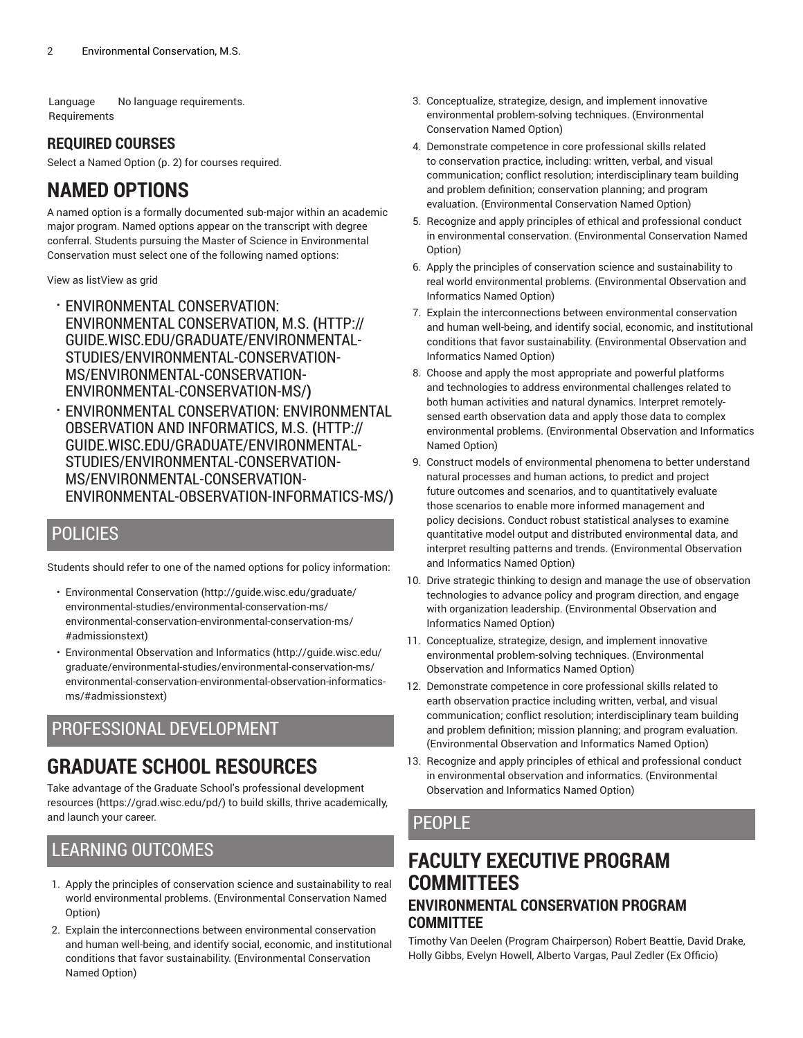Language Requirements No language requirements.

#### **REQUIRED COURSES**

<span id="page-1-0"></span>Select a [Named Option](#page-1-0) [\(p. 2](#page-1-0)) for courses required.

# **NAMED OPTIONS**

A named option is a formally documented sub-major within an academic major program. Named options appear on the transcript with degree conferral. Students pursuing the Master of Science in Environmental Conservation must select one of the following named options:

View as listView as grid

- [ENVIRONMENTAL](http://guide.wisc.edu/graduate/environmental-studies/environmental-conservation-ms/environmental-conservation-environmental-conservation-ms/) CONSERVATION: [ENVIRONMENTAL](http://guide.wisc.edu/graduate/environmental-studies/environmental-conservation-ms/environmental-conservation-environmental-conservation-ms/) CONSERVATION, M.S. **(**[HTTP://](http://guide.wisc.edu/graduate/environmental-studies/environmental-conservation-ms/environmental-conservation-environmental-conservation-ms/) [GUIDE.WISC.EDU/GRADUATE/ENVIRONMENTAL-](http://guide.wisc.edu/graduate/environmental-studies/environmental-conservation-ms/environmental-conservation-environmental-conservation-ms/)[STUDIES/ENVIRONMENTAL-CONSERVATION-](http://guide.wisc.edu/graduate/environmental-studies/environmental-conservation-ms/environmental-conservation-environmental-conservation-ms/)[MS/ENVIRONMENTAL-CONSERVATION-](http://guide.wisc.edu/graduate/environmental-studies/environmental-conservation-ms/environmental-conservation-environmental-conservation-ms/)[ENVIRONMENTAL-CONSERVATION-MS/](http://guide.wisc.edu/graduate/environmental-studies/environmental-conservation-ms/environmental-conservation-environmental-conservation-ms/)**)**
- ENVIRONMENTAL CONSERVATION: [ENVIRONMENTAL](http://guide.wisc.edu/graduate/environmental-studies/environmental-conservation-ms/environmental-conservation-environmental-observation-informatics-ms/) OBSERVATION AND [INFORMATICS,](http://guide.wisc.edu/graduate/environmental-studies/environmental-conservation-ms/environmental-conservation-environmental-observation-informatics-ms/) M.S. **(**[HTTP://](http://guide.wisc.edu/graduate/environmental-studies/environmental-conservation-ms/environmental-conservation-environmental-observation-informatics-ms/) [GUIDE.WISC.EDU/GRADUATE/ENVIRONMENTAL-](http://guide.wisc.edu/graduate/environmental-studies/environmental-conservation-ms/environmental-conservation-environmental-observation-informatics-ms/)[STUDIES/ENVIRONMENTAL-CONSERVATION-](http://guide.wisc.edu/graduate/environmental-studies/environmental-conservation-ms/environmental-conservation-environmental-observation-informatics-ms/)[MS/ENVIRONMENTAL-CONSERVATION-](http://guide.wisc.edu/graduate/environmental-studies/environmental-conservation-ms/environmental-conservation-environmental-observation-informatics-ms/)[ENVIRONMENTAL-OBSERVATION-INFORMATICS-MS/](http://guide.wisc.edu/graduate/environmental-studies/environmental-conservation-ms/environmental-conservation-environmental-observation-informatics-ms/)**)**

#### POLICIES

Students should refer to one of the named options for policy information:

- [Environmental](http://guide.wisc.edu/graduate/environmental-studies/environmental-conservation-ms/environmental-conservation-environmental-conservation-ms/#admissionstext) Conservation [\(http://guide.wisc.edu/graduate/](http://guide.wisc.edu/graduate/environmental-studies/environmental-conservation-ms/environmental-conservation-environmental-conservation-ms/#admissionstext) [environmental-studies/environmental-conservation-ms/](http://guide.wisc.edu/graduate/environmental-studies/environmental-conservation-ms/environmental-conservation-environmental-conservation-ms/#admissionstext) [environmental-conservation-environmental-conservation-ms/](http://guide.wisc.edu/graduate/environmental-studies/environmental-conservation-ms/environmental-conservation-environmental-conservation-ms/#admissionstext) [#admissionstext](http://guide.wisc.edu/graduate/environmental-studies/environmental-conservation-ms/environmental-conservation-environmental-conservation-ms/#admissionstext))
- [Environmental](http://guide.wisc.edu/graduate/environmental-studies/environmental-conservation-ms/environmental-conservation-environmental-observation-informatics-ms/#admissionstext) Observation and Informatics ([http://guide.wisc.edu/](http://guide.wisc.edu/graduate/environmental-studies/environmental-conservation-ms/environmental-conservation-environmental-observation-informatics-ms/#admissionstext) [graduate/environmental-studies/environmental-conservation-ms/](http://guide.wisc.edu/graduate/environmental-studies/environmental-conservation-ms/environmental-conservation-environmental-observation-informatics-ms/#admissionstext) [environmental-conservation-environmental-observation-informatics](http://guide.wisc.edu/graduate/environmental-studies/environmental-conservation-ms/environmental-conservation-environmental-observation-informatics-ms/#admissionstext)[ms/#admissionstext\)](http://guide.wisc.edu/graduate/environmental-studies/environmental-conservation-ms/environmental-conservation-environmental-observation-informatics-ms/#admissionstext)

### PROFESSIONAL DEVELOPMENT

# **GRADUATE SCHOOL RESOURCES**

Take advantage of the Graduate School's professional [development](https://grad.wisc.edu/pd/) [resources](https://grad.wisc.edu/pd/) [\(https://grad.wisc.edu/pd/\)](https://grad.wisc.edu/pd/) to build skills, thrive academically, and launch your career.

#### LEARNING OUTCOMES

- 1. Apply the principles of conservation science and sustainability to real world environmental problems. (Environmental Conservation Named Option)
- 2. Explain the interconnections between environmental conservation and human well-being, and identify social, economic, and institutional conditions that favor sustainability. (Environmental Conservation Named Option)
- 3. Conceptualize, strategize, design, and implement innovative environmental problem-solving techniques. (Environmental Conservation Named Option)
- 4. Demonstrate competence in core professional skills related to conservation practice, including: written, verbal, and visual communication; conflict resolution; interdisciplinary team building and problem definition; conservation planning; and program evaluation. (Environmental Conservation Named Option)
- 5. Recognize and apply principles of ethical and professional conduct in environmental conservation. (Environmental Conservation Named Option)
- 6. Apply the principles of conservation science and sustainability to real world environmental problems. (Environmental Observation and Informatics Named Option)
- 7. Explain the interconnections between environmental conservation and human well-being, and identify social, economic, and institutional conditions that favor sustainability. (Environmental Observation and Informatics Named Option)
- 8. Choose and apply the most appropriate and powerful platforms and technologies to address environmental challenges related to both human activities and natural dynamics. Interpret remotelysensed earth observation data and apply those data to complex environmental problems. (Environmental Observation and Informatics Named Option)
- 9. Construct models of environmental phenomena to better understand natural processes and human actions, to predict and project future outcomes and scenarios, and to quantitatively evaluate those scenarios to enable more informed management and policy decisions. Conduct robust statistical analyses to examine quantitative model output and distributed environmental data, and interpret resulting patterns and trends. (Environmental Observation and Informatics Named Option)
- 10. Drive strategic thinking to design and manage the use of observation technologies to advance policy and program direction, and engage with organization leadership. (Environmental Observation and Informatics Named Option)
- 11. Conceptualize, strategize, design, and implement innovative environmental problem-solving techniques. (Environmental Observation and Informatics Named Option)
- 12. Demonstrate competence in core professional skills related to earth observation practice including written, verbal, and visual communication; conflict resolution; interdisciplinary team building and problem definition; mission planning; and program evaluation. (Environmental Observation and Informatics Named Option)
- 13. Recognize and apply principles of ethical and professional conduct in environmental observation and informatics. (Environmental Observation and Informatics Named Option)

### PEOPLE

#### **FACULTY EXECUTIVE PROGRAM COMMITTEES ENVIRONMENTAL CONSERVATION PROGRAM COMMITTEE**

Timothy Van Deelen (Program Chairperson) Robert Beattie, David Drake, Holly Gibbs, Evelyn Howell, Alberto Vargas, Paul Zedler (Ex Officio)